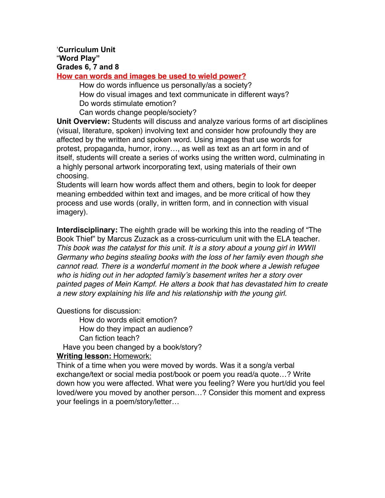# '**Curriculum Unit** "**Word Play" Grades 6, 7 and 8**

**How can words and images be used to wield power?**

How do words influence us personally/as a society? How do visual images and text communicate in different ways? Do words stimulate emotion?

Can words change people/society?

**Unit Overview:** Students will discuss and analyze various forms of art disciplines (visual, literature, spoken) involving text and consider how profoundly they are affected by the written and spoken word. Using images that use words for protest, propaganda, humor, irony…, as well as text as an art form in and of itself, students will create a series of works using the written word, culminating in a highly personal artwork incorporating text, using materials of their own choosing.

Students will learn how words affect them and others, begin to look for deeper meaning embedded within text and images, and be more critical of how they process and use words (orally, in written form, and in connection with visual imagery).

**Interdisciplinary:** The eighth grade will be working this into the reading of "The Book Thief" by Marcus Zuzack as a cross-curriculum unit with the ELA teacher. *This book was the catalyst for this unit. It is a story about a young girl in WWII Germany who begins stealing books with the loss of her family even though she cannot read. There is a wonderful moment in the book where a Jewish refugee who is hiding out in her adopted family*'*s basement writes her a story over painted pages of Mein Kampf. He alters a book that has devastated him to create a new story explaining his life and his relationship with the young girl.*

Questions for discussion:

How do words elicit emotion? How do they impact an audience? Can fiction teach?

Have you been changed by a book/story?

**Writing lesson:** Homework:

Think of a time when you were moved by words. Was it a song/a verbal exchange/text or social media post/book or poem you read/a quote…? Write down how you were affected. What were you feeling? Were you hurt/did you feel loved/were you moved by another person…? Consider this moment and express your feelings in a poem/story/letter…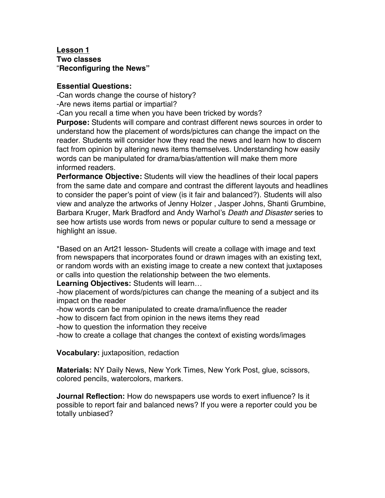#### **Lesson 1 Two classes** "**Reconfiguring the News"**

### **Essential Questions:**

-Can words change the course of history?

-Are news items partial or impartial?

-Can you recall a time when you have been tricked by words?

**Purpose:** Students will compare and contrast different news sources in order to understand how the placement of words/pictures can change the impact on the reader. Students will consider how they read the news and learn how to discern fact from opinion by altering news items themselves. Understanding how easily words can be manipulated for drama/bias/attention will make them more informed readers.

**Performance Objective:** Students will view the headlines of their local papers from the same date and compare and contrast the different layouts and headlines to consider the paper's point of view (is it fair and balanced?). Students will also view and analyze the artworks of Jenny Holzer , Jasper Johns, Shanti Grumbine, Barbara Kruger, Mark Bradford and Andy Warhol's *Death and Disaster* series to see how artists use words from news or popular culture to send a message or highlight an issue.

\*Based on an Art21 lesson- Students will create a collage with image and text from newspapers that incorporates found or drawn images with an existing text, or random words with an existing image to create a new context that juxtaposes or calls into question the relationship between the two elements.

**Learning Objectives:** Students will learn…

-how placement of words/pictures can change the meaning of a subject and its impact on the reader

-how words can be manipulated to create drama/influence the reader

-how to discern fact from opinion in the news items they read

-how to question the information they receive

-how to create a collage that changes the context of existing words/images

**Vocabulary:** juxtaposition, redaction

**Materials:** NY Daily News, New York Times, New York Post, glue, scissors, colored pencils, watercolors, markers.

**Journal Reflection:** How do newspapers use words to exert influence? Is it possible to report fair and balanced news? If you were a reporter could you be totally unbiased?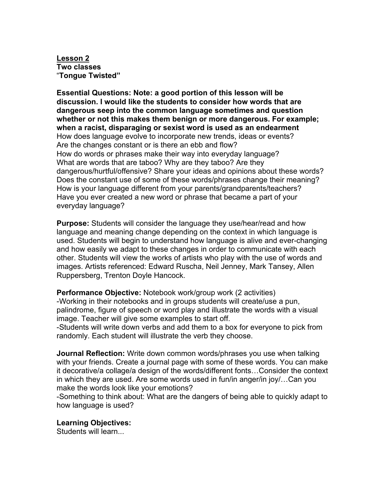**Lesson 2 Two classes** "**Tongue Twisted"**

**Essential Questions: Note: a good portion of this lesson will be discussion. I would like the students to consider how words that are dangerous seep into the common language sometimes and question whether or not this makes them benign or more dangerous. For example; when a racist, disparaging or sexist word is used as an endearment** How does language evolve to incorporate new trends, ideas or events? Are the changes constant or is there an ebb and flow? How do words or phrases make their way into everyday language? What are words that are taboo? Why are they taboo? Are they dangerous/hurtful/offensive? Share your ideas and opinions about these words? Does the constant use of some of these words/phrases change their meaning? How is your language different from your parents/grandparents/teachers? Have you ever created a new word or phrase that became a part of your everyday language?

**Purpose:** Students will consider the language they use/hear/read and how language and meaning change depending on the context in which language is used. Students will begin to understand how language is alive and ever-changing and how easily we adapt to these changes in order to communicate with each other. Students will view the works of artists who play with the use of words and images. Artists referenced: Edward Ruscha, Neil Jenney, Mark Tansey, Allen Ruppersberg, Trenton Doyle Hancock.

**Performance Objective:** Notebook work/group work (2 activities) -Working in their notebooks and in groups students will create/use a pun, palindrome, figure of speech or word play and illustrate the words with a visual image. Teacher will give some examples to start off.

-Students will write down verbs and add them to a box for everyone to pick from randomly. Each student will illustrate the verb they choose.

**Journal Reflection:** Write down common words/phrases you use when talking with your friends. Create a journal page with some of these words. You can make it decorative/a collage/a design of the words/different fonts…Consider the context in which they are used. Are some words used in fun/in anger/in joy/…Can you make the words look like your emotions?

-Something to think about: What are the dangers of being able to quickly adapt to how language is used?

# **Learning Objectives:**

Students will learn...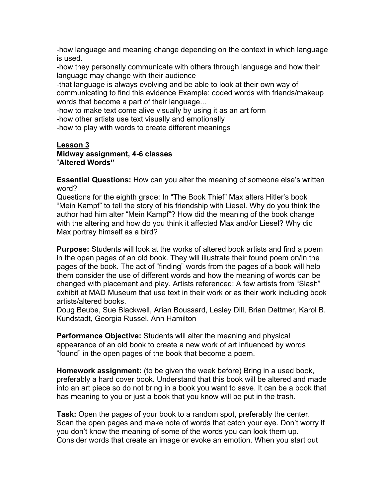-how language and meaning change depending on the context in which language is used.

-how they personally communicate with others through language and how their language may change with their audience

-that language is always evolving and be able to look at their own way of communicating to find this evidence Example: coded words with friends/makeup words that become a part of their language...

-how to make text come alive visually by using it as an art form -how other artists use text visually and emotionally

-how to play with words to create different meanings

#### **Lesson 3 Midway assignment, 4-6 classes** "**Altered Words"**

**Essential Questions:** How can you alter the meaning of someone else's written word?

Questions for the eighth grade: In "The Book Thief" Max alters Hitler's book "Mein Kampf" to tell the story of his friendship with Liesel. Why do you think the author had him alter "Mein Kampf"? How did the meaning of the book change with the altering and how do you think it affected Max and/or Liesel? Why did Max portray himself as a bird?

**Purpose:** Students will look at the works of altered book artists and find a poem in the open pages of an old book. They will illustrate their found poem on/in the pages of the book. The act of "finding" words from the pages of a book will help them consider the use of different words and how the meaning of words can be changed with placement and play. Artists referenced: A few artists from "Slash" exhibit at MAD Museum that use text in their work or as their work including book artists/altered books.

Doug Beube, Sue Blackwell, Arian Boussard, Lesley Dill, Brian Dettmer, Karol B. Kundstadt, Georgia Russel, Ann Hamilton

**Performance Objective:** Students will alter the meaning and physical appearance of an old book to create a new work of art influenced by words "found" in the open pages of the book that become a poem.

**Homework assignment:** (to be given the week before) Bring in a used book, preferably a hard cover book. Understand that this book will be altered and made into an art piece so do not bring in a book you want to save. It can be a book that has meaning to you or just a book that you know will be put in the trash.

**Task:** Open the pages of your book to a random spot, preferably the center. Scan the open pages and make note of words that catch your eye. Don't worry if you don't know the meaning of some of the words you can look them up. Consider words that create an image or evoke an emotion. When you start out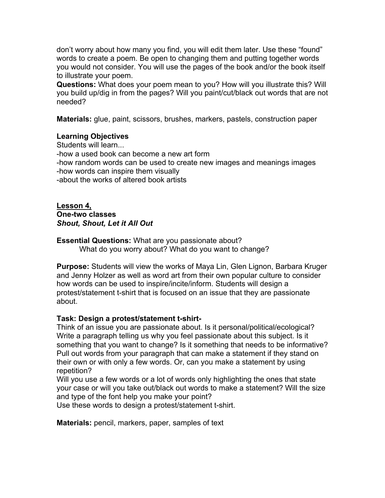don't worry about how many you find, you will edit them later. Use these "found" words to create a poem. Be open to changing them and putting together words you would not consider. You will use the pages of the book and/or the book itself to illustrate your poem.

**Questions:** What does your poem mean to you? How will you illustrate this? Will you build up/dig in from the pages? Will you paint/cut/black out words that are not needed?

**Materials:** glue, paint, scissors, brushes, markers, pastels, construction paper

## **Learning Objectives**

Students will learn...

-how a used book can become a new art form

-how random words can be used to create new images and meanings images -how words can inspire them visually

-about the works of altered book artists

**Lesson 4, One-two classes** *Shout, Shout, Let it All Out*

**Essential Questions:** What are you passionate about? What do you worry about? What do you want to change?

**Purpose:** Students will view the works of Maya Lin, Glen Lignon, Barbara Kruger and Jenny Holzer as well as word art from their own popular culture to consider how words can be used to inspire/incite/inform. Students will design a protest/statement t-shirt that is focused on an issue that they are passionate about.

### **Task: Design a protest/statement t-shirt-**

Think of an issue you are passionate about. Is it personal/political/ecological? Write a paragraph telling us why you feel passionate about this subject. Is it something that you want to change? Is it something that needs to be informative? Pull out words from your paragraph that can make a statement if they stand on their own or with only a few words. Or, can you make a statement by using repetition?

Will you use a few words or a lot of words only highlighting the ones that state your case or will you take out/black out words to make a statement? Will the size and type of the font help you make your point?

Use these words to design a protest/statement t-shirt.

**Materials:** pencil, markers, paper, samples of text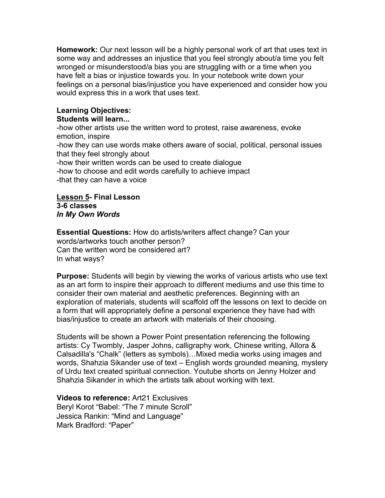**Homework:** Our next lesson will be a highly personal work of art that uses text in some way and addresses an injustice that you feel strongly about/a time you felt wronged or misunderstood/a bias you are struggling with or a time when you have felt a bias or injustice towards you. In your notebook write down your feelings on a personal bias/injustice you have experienced and consider how you would express this in a work that uses text.

# **Learning Objectives:**

## **Students will learn...**

-how other artists use the written word to protest, raise awareness, evoke emotion, inspire -how they can use words make others aware of social, political, personal issues that they feel strongly about -how their written words can be used to create dialogue -how to choose and edit words carefully to achieve impact -that they can have a voice

**Lesson 5- Final Lesson 3-6 classes** *In My Own Words*

**Essential Questions:** How do artists/writers affect change? Can your words/artworks touch another person? Can the written word be considered art? In what ways?

**Purpose:** Students will begin by viewing the works of various artists who use text as an art form to inspire their approach to different mediums and use this time to consider their own material and aesthetic preferences. Beginning with an exploration of materials, students will scaffold off the lessons on text to decide on a form that will appropriately define a personal experience they have had with bias/injustice to create an artwork with materials of their choosing.

Students will be shown a Power Point presentation referencing the following artists: Cy Twombly, Jasper Johns, calligraphy work, Chinese writing, Allora & Calsadilla's "Chalk" (letters as symbols)…Mixed media works using images and words, Shahzia Sikander use of text – English words grounded meaning, mystery of Urdu text created spiritual connection. Youtube shorts on Jenny Holzer and Shahzia Sikander in which the artists talk about working with text.

**Videos to reference:** Art21 Exclusives Beryl Korot "Babel: "The 7 minute Scroll" Jessica Rankin: "Mind and Language" Mark Bradford: "Paper"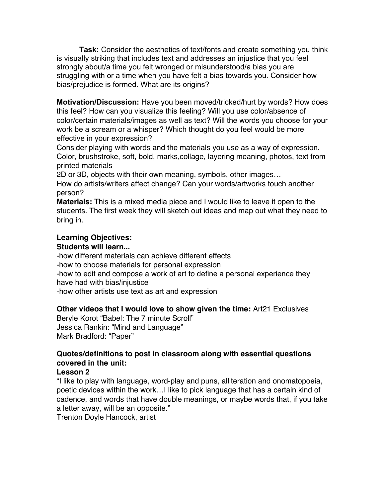**Task:** Consider the aesthetics of text/fonts and create something you think is visually striking that includes text and addresses an injustice that you feel strongly about/a time you felt wronged or misunderstood/a bias you are struggling with or a time when you have felt a bias towards you. Consider how bias/prejudice is formed. What are its origins?

**Motivation/Discussion:** Have you been moved/tricked/hurt by words? How does this feel? How can you visualize this feeling? Will you use color/absence of color/certain materials/images as well as text? Will the words you choose for your work be a scream or a whisper? Which thought do you feel would be more effective in your expression?

Consider playing with words and the materials you use as a way of expression. Color, brushstroke, soft, bold, marks,collage, layering meaning, photos, text from printed materials

2D or 3D, objects with their own meaning, symbols, other images…

How do artists/writers affect change? Can your words/artworks touch another person?

**Materials:** This is a mixed media piece and I would like to leave it open to the students. The first week they will sketch out ideas and map out what they need to bring in.

# **Learning Objectives:**

# **Students will learn...**

-how different materials can achieve different effects

-how to choose materials for personal expression

-how to edit and compose a work of art to define a personal experience they have had with bias/injustice

-how other artists use text as art and expression

# **Other videos that I would love to show given the time:** Art21 Exclusives

Beryle Korot "Babel: The 7 minute Scroll" Jessica Rankin: "Mind and Language" Mark Bradford: "Paper"

# **Quotes/definitions to post in classroom along with essential questions covered in the unit:**

# **Lesson 2**

"I like to play with language, word-play and puns, alliteration and onomatopoeia, poetic devices within the work…I like to pick language that has a certain kind of cadence, and words that have double meanings, or maybe words that, if you take a letter away, will be an opposite."

Trenton Doyle Hancock, artist